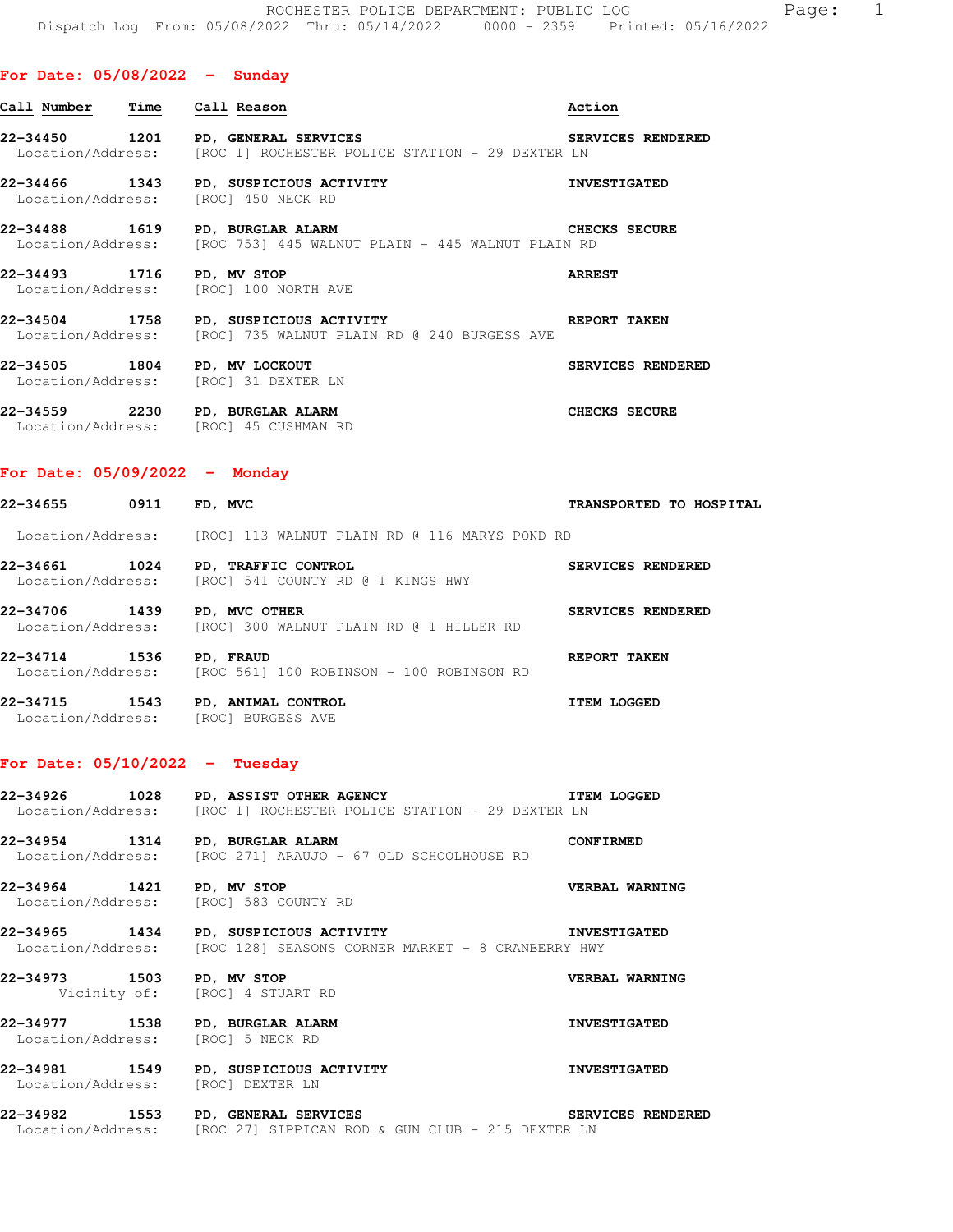## **For Date: 05/08/2022 - Sunday**

| Call Number  Time  Call Reason                                       |                                                                                                         | Action                   |
|----------------------------------------------------------------------|---------------------------------------------------------------------------------------------------------|--------------------------|
|                                                                      | 22-34450 1201 PD, GENERAL SERVICES<br>Location/Address: [ROC 1] ROCHESTER POLICE STATION - 29 DEXTER LN | <b>SERVICES RENDERED</b> |
| Location/Address: [ROC] 450 NECK RD                                  | 22-34466 1343 PD, SUSPICIOUS ACTIVITY                                                                   | <b>INVESTIGATED</b>      |
| 22-34488 1619 PD, BURGLAR ALARM                                      | Location/Address: [ROC 753] 445 WALNUT PLAIN - 445 WALNUT PLAIN RD                                      | <b>CHECKS SECURE</b>     |
| 22-34493 1716 PD, MV STOP                                            | Location/Address: [ROC] 100 NORTH AVE                                                                   | <b>ARREST</b>            |
|                                                                      | 22-34504 1758 PD, SUSPICIOUS ACTIVITY<br>Location/Address: [ROC] 735 WALNUT PLAIN RD @ 240 BURGESS AVE  | <b>REPORT TAKEN</b>      |
| 22-34505 1804 PD, MV LOCKOUT<br>Location/Address: [ROC] 31 DEXTER LN |                                                                                                         | SERVICES RENDERED        |

**22-34559 2230 PD, BURGLAR ALARM CHECKS SECURE**  Location/Address: [ROC] 45 CUSHMAN RD

### **For Date: 05/09/2022 - Monday**

| 0911<br>22-34655                      | FD, MVC                                                         | TRANSPORTED TO HOSPITAL |
|---------------------------------------|-----------------------------------------------------------------|-------------------------|
|                                       | Location/Address: [ROC] 113 WALNUT PLAIN RD @ 116 MARYS POND RD |                         |
| 1024<br>22-34661<br>Location/Address: | PD, TRAFFIC CONTROL<br>[ROC] 541 COUNTY RD @ 1 KINGS HWY        | SERVICES RENDERED       |
| 1439<br>22-34706<br>Location/Address: | PD, MVC OTHER<br>[ROC] 300 WALNUT PLAIN RD @ 1 HILLER RD        | SERVICES RENDERED       |
| 22-34714<br>1536<br>Location/Address: | PD, FRAUD<br>[ROC 561] 100 ROBINSON - 100 ROBINSON RD           | REPORT TAKEN            |
| 1543<br>22-34715                      | PD, ANIMAL CONTROL                                              | <b>ITEM LOGGED</b>      |

# **For Date: 05/10/2022 - Tuesday**

Location/Address: [ROC] BURGESS AVE

**22-34926 1028 PD, ASSIST OTHER AGENCY ITEM LOGGED**  Location/Address: [ROC 1] ROCHESTER POLICE STATION - 29 DEXTER LN

**22-34954 1314 PD, BURGLAR ALARM CONFIRMED**  Location/Address: [ROC 271] ARAUJO - 67 OLD SCHOOLHOUSE RD

**22-34964 1421 PD, MV STOP VERBAL WARNING**  Location/Address: [ROC] 583 COUNTY RD

**22-34965 1434 PD, SUSPICIOUS ACTIVITY INVESTIGATED**  Location/Address: [ROC 128] SEASONS CORNER MARKET - 8 CRANBERRY HWY

**22-34973 1503 PD, MV STOP VERBAL WARNING**  Vicinity of: [ROC] 4 STUART RD

**22-34977 1538 PD, BURGLAR ALARM INVESTIGATED**  Location/Address: [ROC] 5 NECK RD

**22-34981 1549 PD, SUSPICIOUS ACTIVITY INVESTIGATED**  Location/Address: [ROC] DEXTER LN

**22-34982 1553 PD, GENERAL SERVICES SERVICES RENDERED**  Location/Address: [ROC 27] SIPPICAN ROD & GUN CLUB - 215 DEXTER LN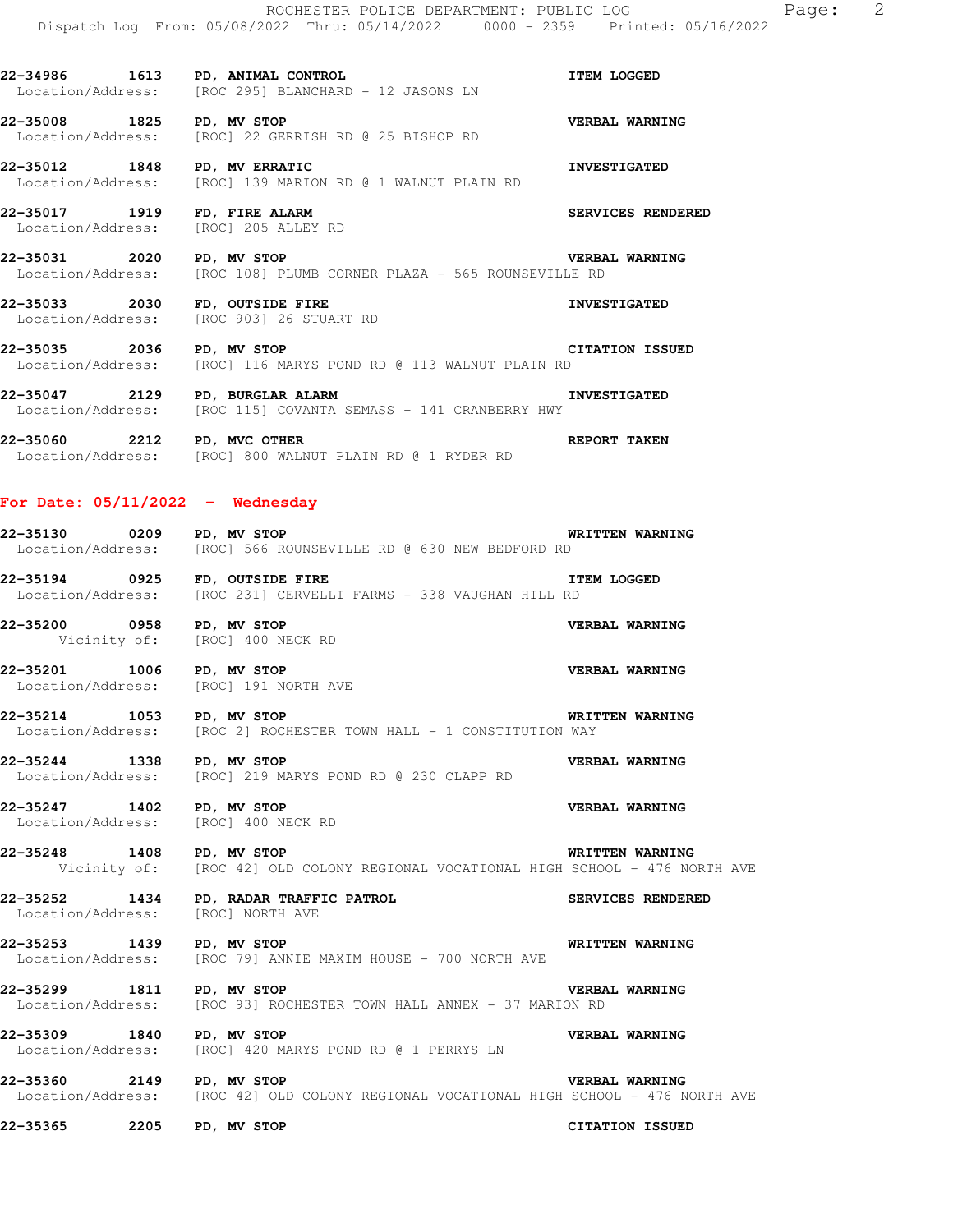**22-34986 1613 PD, ANIMAL CONTROL ITEM LOGGED**  Location/Address: [ROC 295] BLANCHARD - 12 JASONS LN

**22-35008 1825 PD, MV STOP VERBAL WARNING**  Location/Address: [ROC] 22 GERRISH RD @ 25 BISHOP RD

**22-35012 1848 PD, MV ERRATIC INVESTIGATED**  Location/Address: [ROC] 139 MARION RD @ 1 WALNUT PLAIN RD

**22-35017 1919 FD, FIRE ALARM SERVICES RENDERED**  Location/Address: [ROC] 205 ALLEY RD

**22-35031 2020 PD, MV STOP VERBAL WARNING**  Location/Address: [ROC 108] PLUMB CORNER PLAZA - 565 ROUNSEVILLE RD

22-35033 2030 FD, OUTSIDE FIRE **INVESTIGATED** Location/Address: [ROC 903] 26 STUART RD

**22-35035 2036 PD, MV STOP CITATION ISSUED**  Location/Address: [ROC] 116 MARYS POND RD @ 113 WALNUT PLAIN RD

**22-35047 2129 PD, BURGLAR ALARM INVESTIGATED**<br>Location/Address: [ROC 115] COVANTA SEMASS - 141 CRANBERRY HWY [ROC 115] COVANTA SEMASS - 141 CRANBERRY HWY

**22-35060 2212 PD, MVC OTHER REPORT TAKEN**  Location/Address: [ROC] 800 WALNUT PLAIN RD @ 1 RYDER RD

### **For Date: 05/11/2022 - Wednesday**

**22-35130 0209 PD, MV STOP WRITTEN WARNING**  Location/Address: [ROC] 566 ROUNSEVILLE RD @ 630 NEW BEDFORD RD

**22-35194 0925 FD, OUTSIDE FIRE ITEM LOGGED**  Location/Address: [ROC 231] CERVELLI FARMS - 338 VAUGHAN HILL RD

**22-35200 0958 PD, MV STOP CONSUMERBAL WARNING**<br>Vicinity of: [ROC] 400 NECK RD [ROC] 400 NECK RD

**22-35201 1006 PD, MV STOP 1008 PD, MV STOP 191 NORTH AVE CONSUMERBAL WARNING** Location/Address:

**22-35214 1053 PD, MV STOP WRITTEN WARNING**  Location/Address: [ROC 2] ROCHESTER TOWN HALL - 1 CONSTITUTION WAY

**22-35244 1338 PD, MV STOP 1358 PD, MV STOP VERBAL WARNING** Location/Address: [ROC] 219 MARYS POND RD @ 230 CLAPP RD [ROC] 219 MARYS POND RD @ 230 CLAPP RD

**22-35247 1402 PD, MV STOP VERBAL WARNING**  Location/Address: [ROC] 400 NECK RD

**22-35248 1408 PD, MV STOP WRITTEN WARNING**  Vicinity of: [ROC 42] OLD COLONY REGIONAL VOCATIONAL HIGH SCHOOL - 476 NORTH AVE

**22-35252 1434 PD, RADAR TRAFFIC PATROL SERVICES RENDERED**  Location/Address: [ROC] NORTH AVE

**22-35253 1439 PD, MV STOP WRITTEN WARNING**  Location/Address: [ROC 79] ANNIE MAXIM HOUSE - 700 NORTH AVE

**22-35299 1811 PD, MV STOP VERBAL WARNING**  Location/Address: [ROC 93] ROCHESTER TOWN HALL ANNEX - 37 MARION RD

**22-35309 1840 PD, MV STOP VERBAL WARNING**  Location/Address: [ROC] 420 MARYS POND RD @ 1 PERRYS LN

**22-35360 2149 PD, MV STOP VERBAL WARNING**  Location/Address: [ROC 42] OLD COLONY REGIONAL VOCATIONAL HIGH SCHOOL - 476 NORTH AVE

**22-35365 2205 PD, MV STOP CITATION ISSUED**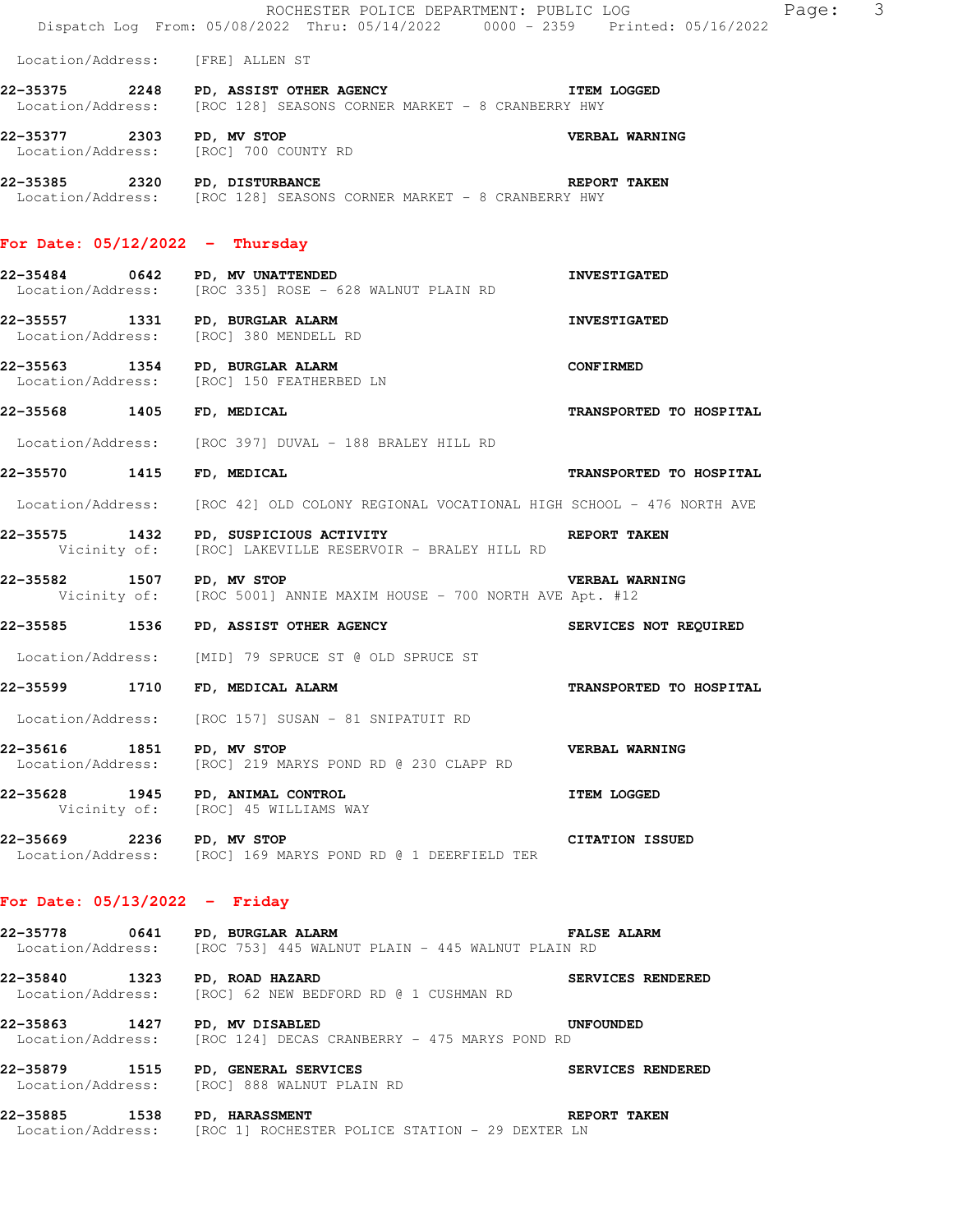|                                   | ROCHESTER POLICE DEPARTMENT: PUBLIC LOG<br>Dispatch Log From: 05/08/2022 Thru: 05/14/2022 0000 - 2359 Printed: 05/16/2022 | Page: 3                 |  |
|-----------------------------------|---------------------------------------------------------------------------------------------------------------------------|-------------------------|--|
|                                   | Location/Address: [FRE] ALLEN ST                                                                                          |                         |  |
|                                   | 22-35375 2248 PD, ASSIST OTHER AGENCY TEM LOGGED<br>Location/Address: [ROC 128] SEASONS CORNER MARKET - 8 CRANBERRY HWY   |                         |  |
| 22-35377 2303 PD, MV STOP         | Location/Address: [ROC] 700 COUNTY RD                                                                                     | VERBAL WARNING          |  |
|                                   | 22-35385 2320 PD, DISTURBANCE<br>Location/Address: [ROC 128] SEASONS CORNER MARKET - 8 CRANBERRY HWY                      | <b>REPORT TAKEN</b>     |  |
| For Date: $05/12/2022 -$ Thursday |                                                                                                                           |                         |  |
|                                   | 22-35484 0642 PD, MV UNATTENDED<br>Location/Address: [ROC 335] ROSE - 628 WALNUT PLAIN RD                                 | <b>INVESTIGATED</b>     |  |
|                                   | 22-35557 1331 PD, BURGLAR ALARM<br>Location/Address: [ROC] 380 MENDELL RD                                                 | <b>INVESTIGATED</b>     |  |
|                                   | 22-35563 1354 PD, BURGLAR ALARM<br>Location/Address: [ROC] 150 FEATHERBED LN                                              | <b>CONFIRMED</b>        |  |
| 22-35568 1405 FD, MEDICAL         |                                                                                                                           | TRANSPORTED TO HOSPITAL |  |
|                                   | Location/Address: [ROC 397] DUVAL - 188 BRALEY HILL RD                                                                    |                         |  |
| 22-35570 1415 FD, MEDICAL         |                                                                                                                           | TRANSPORTED TO HOSPITAL |  |
| Location/Address:                 | [ROC 42] OLD COLONY REGIONAL VOCATIONAL HIGH SCHOOL - 476 NORTH AVE                                                       |                         |  |
| 22-35575 1432                     | PD, SUSPICIOUS ACTIVITY<br>Vicinity of: [ROC] LAKEVILLE RESERVOIR - BRALEY HILL RD                                        | REPORT TAKEN            |  |
|                                   | 22-35582 1507 PD, MV STOP WERBAL WA VERBAL WA VICINITY Of: [ROC 5001] ANNIE MAXIM HOUSE - 700 NORTH AVE Apt. #12          | <b>VERBAL WARNING</b>   |  |
|                                   | 22-35585 1536 PD, ASSIST OTHER AGENCY                                                                                     | SERVICES NOT REQUIRED   |  |
|                                   | Location/Address: [MID] 79 SPRUCE ST @ OLD SPRUCE ST                                                                      |                         |  |
|                                   | 22-35599 1710 FD, MEDICAL ALARM                                                                                           | TRANSPORTED TO HOSPITAL |  |
|                                   | Location/Address: [ROC 157] SUSAN - 81 SNIPATUIT RD                                                                       |                         |  |
| 22-35616 1851 PD, MV STOP         | Location/Address: [ROC] 219 MARYS POND RD @ 230 CLAPP RD                                                                  | VERBAL WARNING          |  |
|                                   | 22-35628 1945 PD, ANIMAL CONTROL<br>Vicinity of: [ROC] 45 WILLIAMS WAY                                                    | <b>ITEM LOGGED</b>      |  |
| 22-35669 2236 PD, MV STOP         | Location/Address: [ROC] 169 MARYS POND RD @ 1 DEERFIELD TER                                                               | <b>CITATION ISSUED</b>  |  |
| For Date: $05/13/2022 -$ Friday   |                                                                                                                           |                         |  |
|                                   | FALSE ALARM<br>22-35778 0641 PD, BURGLAR ALARM<br>Location/Address: [ROC 753] 445 WALNUT PLAIN - 445 WALNUT PLAIN RD      |                         |  |
|                                   | 22-35840 1323 PD, ROAD HAZARD<br>Location/Address: [ROC] 62 NEW BEDFORD RD @ 1 CUSHMAN RD                                 | SERVICES RENDERED       |  |
|                                   | 22-35863 1427 PD, MV DISABLED<br>Location/Address: [ROC 124] DECAS CRANBERRY - 475 MARYS POND RD                          | <b>UNFOUNDED</b>        |  |
|                                   | 22-35879 1515 PD, GENERAL SERVICES<br>Location/Address: [ROC] 888 WALNUT PLAIN RD                                         | SERVICES RENDERED       |  |
| 22-35885 1538 PD, HARASSMENT      | Location/Address: [ROC 1] ROCHESTER POLICE STATION - 29 DEXTER LN                                                         | REPORT TAKEN            |  |
|                                   |                                                                                                                           |                         |  |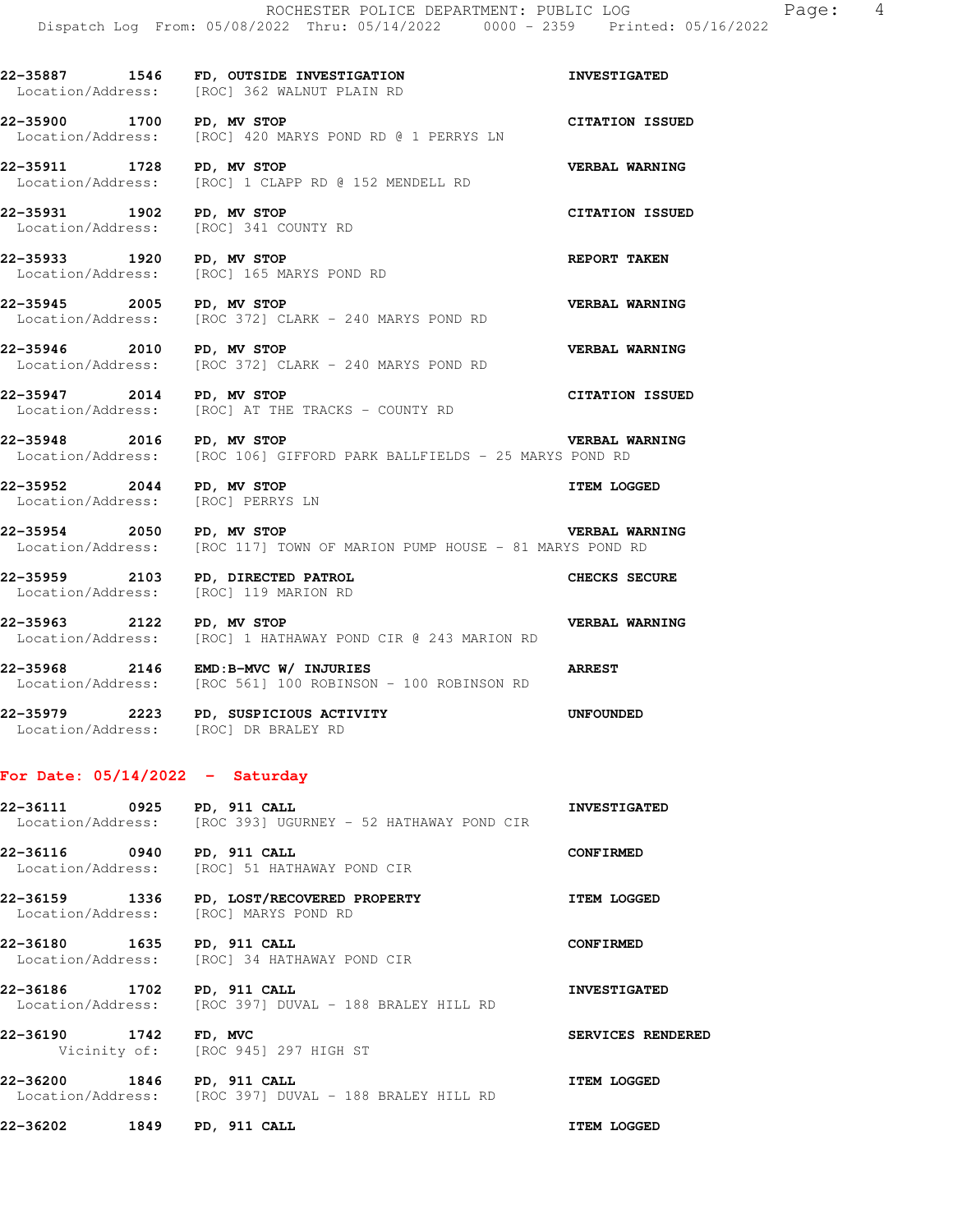**22-35887 1546 FD, OUTSIDE INVESTIGATION INVESTIGATED**  Location/Address: [ROC] 362 WALNUT PLAIN RD **22-35900 1700 PD, MV STOP CITATION ISSUED**  Location/Address: [ROC] 420 MARYS POND RD @ 1 PERRYS LN **22-35911 1728 PD, MV STOP** 152 MENDELL RD **VERBAL WARNING** Location/Address: [ROC] 1 CLAPP RD @ 152 MENDELL RD [ROC] 1 CLAPP RD @ 152 MENDELL RD **22-35931 1902 PD, MV STOP CITATION ISSUED**  Location/Address: [ROC] 341 COUNTY RD **22-35933 1920 PD, MV STOP REPORT TAKEN** Location/Address: [ROC] 165 MARYS POND RD [ROC] 165 MARYS POND RD **22-35945 2005 PD, MV STOP VERBAL WARNING**  Location/Address: [ROC 372] CLARK - 240 MARYS POND RD **22-35946 2010 PD, MV STOP VERBAL WARNING**  Location/Address: [ROC 372] CLARK - 240 MARYS POND RD **22-35947 2014 PD, MV STOP CITATION ISSUED**<br>
Location/Address: [ROC] AT THE TRACKS - COUNTY RD [ROC] AT THE TRACKS - COUNTY RD **22-35948 2016 PD, MV STOP BERBAL WARNING**<br>Location/Address: [ROC 106] GIFFORD PARK BALLFIELDS - 25 MARYS POND RD [ROC 106] GIFFORD PARK BALLFIELDS - 25 MARYS POND RD **22-35952 2044 PD, MV STOP ITEM LOGGED**  Location/Address: [ROC] PERRYS LN **22-35954 2050 PD, MV STOP VERBAL WARNING**  Location/Address: [ROC 117] TOWN OF MARION PUMP HOUSE - 81 MARYS POND RD **22-35959 2103 PD, DIRECTED PATROL CHECKS SECURE**  Location/Address: [ROC] 119 MARION RD **22-35963 2122 PD, MV STOP CIR @ 243 MARION RD VERBAL WARNING** Location/Address: [ROC] 1 HATHAWAY POND CIR @ 243 MARION RD [ROC] 1 HATHAWAY POND CIR @ 243 MARION RD **22-35968 2146 EMD:B-MVC W/ INJURIES ARREST**  Location/Address: [ROC 561] 100 ROBINSON - 100 ROBINSON RD **22-35979 2223 PD, SUSPICIOUS ACTIVITY UNFOUNDED**  Location/Address: [ROC] DR BRALEY RD

## **For Date: 05/14/2022 - Saturday**

**22-36111 0925 PD, 911 CALL INVESTIGATED**  Location/Address: [ROC 393] UGURNEY - 52 HATHAWAY POND CIR **22-36116 0940 PD, 911 CALL CONFIRMED**<br>
Location/Address: [ROC] 51 HATHAWAY POND CIR [ROC] 51 HATHAWAY POND CIR **22-36159 1336 PD, LOST/RECOVERED PROPERTY ITEM LOGGED**  Location/Address: [ROC] MARYS POND RD **22-36180 1635 PD, 911 CALL CONFIRMED**  Location/Address: [ROC] 34 HATHAWAY POND CIR **22-36186 1702 PD, 911 CALL INVESTIGATED**  Location/Address: [ROC 397] DUVAL - 188 BRALEY HILL RD **22-36190 1742 FD, MVC SERVICES RENDERED**  Vicinity of: [ROC 945] 297 HIGH ST **22-36200 1846 PD, 911 CALL ITEM LOGGED**  Location/Address: [ROC 397] DUVAL - 188 BRALEY HILL RD **22-36202 1849 PD, 911 CALL ITEM LOGGED**